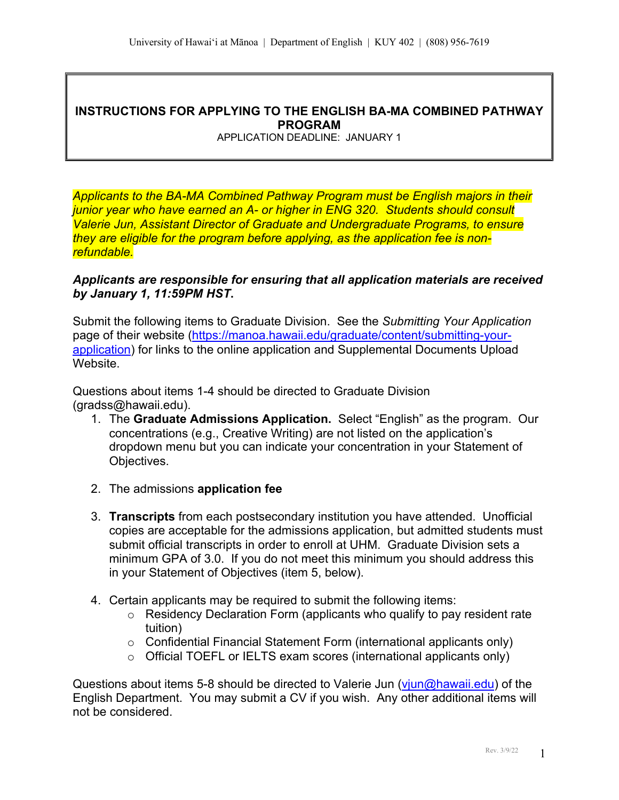## **INSTRUCTIONS FOR APPLYING TO THE ENGLISH BA-MA COMBINED PATHWAY PROGRAM**

APPLICATION DEADLINE: JANUARY 1

*Applicants to the BA-MA Combined Pathway Program must be English majors in their junior year who have earned an A- or higher in ENG 320. Students should consult Valerie Jun, Assistant Director of Graduate and Undergraduate Programs, to ensure they are eligible for the program before applying, as the application fee is nonrefundable.* 

#### *Applicants are responsible for ensuring that all application materials are received by January 1, 11:59PM HST***.**

Submit the following items to Graduate Division. See the *Submitting Your Application*  page of their website (https://manoa.hawaii.edu/graduate/content/submitting-yourapplication) for links to the online application and Supplemental Documents Upload Website.

Questions about items 1-4 should be directed to Graduate Division (gradss@hawaii.edu).

- 1. The **Graduate Admissions Application.** Select "English" as the program. Our concentrations (e.g., Creative Writing) are not listed on the application's dropdown menu but you can indicate your concentration in your Statement of Objectives.
- 2. The admissions **application fee**
- 3. **Transcripts** from each postsecondary institution you have attended. Unofficial copies are acceptable for the admissions application, but admitted students must submit official transcripts in order to enroll at UHM. Graduate Division sets a minimum GPA of 3.0. If you do not meet this minimum you should address this in your Statement of Objectives (item 5, below).
- 4. Certain applicants may be required to submit the following items:
	- o Residency Declaration Form (applicants who qualify to pay resident rate tuition)
	- o Confidential Financial Statement Form (international applicants only)
	- $\circ$  Official TOEFL or IELTS exam scores (international applicants only)

Questions about items 5-8 should be directed to Valerie Jun (viun@hawaii.edu) of the English Department. You may submit a CV if you wish. Any other additional items will not be considered.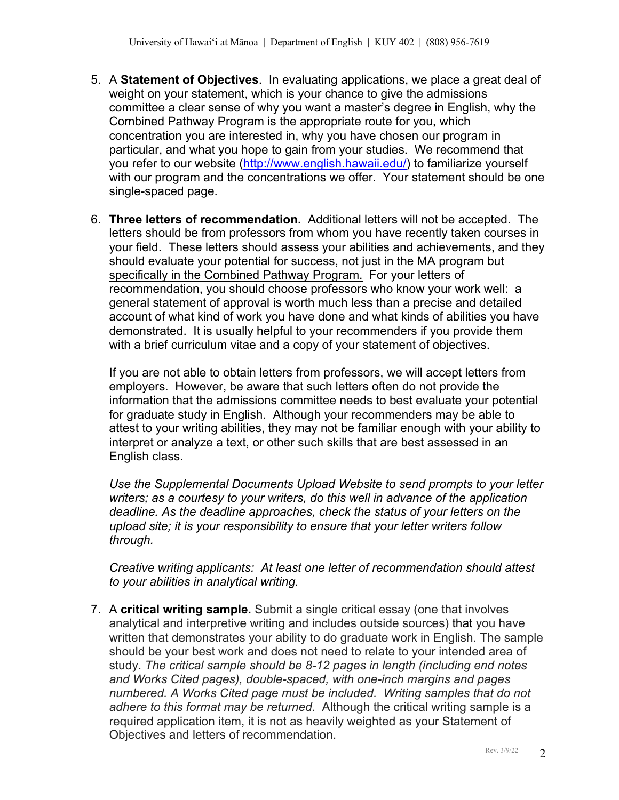- 5. A **Statement of Objectives**. In evaluating applications, we place a great deal of weight on your statement, which is your chance to give the admissions committee a clear sense of why you want a master's degree in English, why the Combined Pathway Program is the appropriate route for you, which concentration you are interested in, why you have chosen our program in particular, and what you hope to gain from your studies. We recommend that you refer to our website (http://www.english.hawaii.edu/) to familiarize yourself with our program and the concentrations we offer. Your statement should be one single-spaced page.
- 6. **Three letters of recommendation.** Additional letters will not be accepted. The letters should be from professors from whom you have recently taken courses in your field. These letters should assess your abilities and achievements, and they should evaluate your potential for success, not just in the MA program but specifically in the Combined Pathway Program. For your letters of recommendation, you should choose professors who know your work well: a general statement of approval is worth much less than a precise and detailed account of what kind of work you have done and what kinds of abilities you have demonstrated. It is usually helpful to your recommenders if you provide them with a brief curriculum vitae and a copy of your statement of objectives.

If you are not able to obtain letters from professors, we will accept letters from employers. However, be aware that such letters often do not provide the information that the admissions committee needs to best evaluate your potential for graduate study in English. Although your recommenders may be able to attest to your writing abilities, they may not be familiar enough with your ability to interpret or analyze a text, or other such skills that are best assessed in an English class.

*Use the Supplemental Documents Upload Website to send prompts to your letter writers; as a courtesy to your writers, do this well in advance of the application deadline. As the deadline approaches, check the status of your letters on the upload site; it is your responsibility to ensure that your letter writers follow through.*

*Creative writing applicants: At least one letter of recommendation should attest to your abilities in analytical writing.*

7. A **critical writing sample.** Submit a single critical essay (one that involves analytical and interpretive writing and includes outside sources) that you have written that demonstrates your ability to do graduate work in English. The sample should be your best work and does not need to relate to your intended area of study. *The critical sample should be 8-12 pages in length (including end notes and Works Cited pages), double-spaced, with one-inch margins and pages numbered. A Works Cited page must be included. Writing samples that do not adhere to this format may be returned.* Although the critical writing sample is a required application item, it is not as heavily weighted as your Statement of Objectives and letters of recommendation.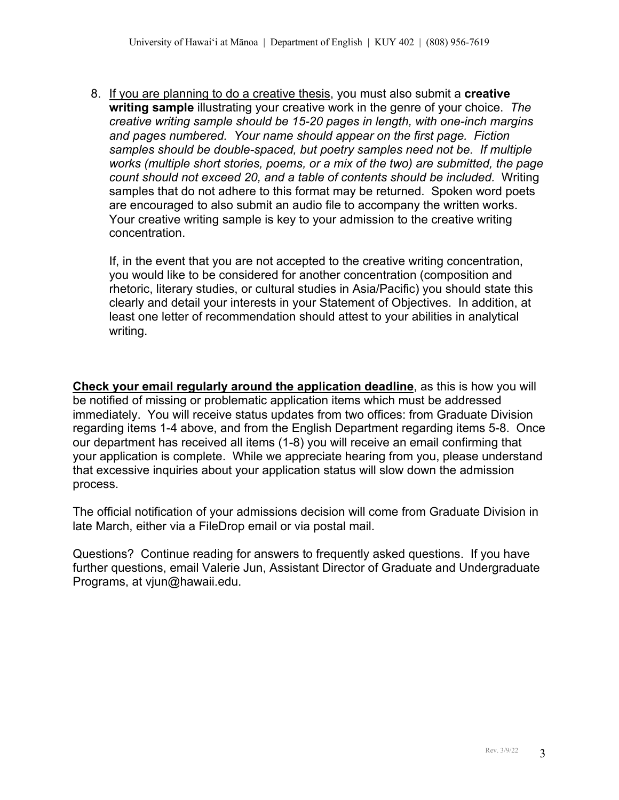8. If you are planning to do a creative thesis, you must also submit a **creative writing sample** illustrating your creative work in the genre of your choice. *The creative writing sample should be 15-20 pages in length, with one-inch margins and pages numbered. Your name should appear on the first page. Fiction samples should be double-spaced, but poetry samples need not be. If multiple works (multiple short stories, poems, or a mix of the two) are submitted, the page count should not exceed 20, and a table of contents should be included.* Writing samples that do not adhere to this format may be returned. Spoken word poets are encouraged to also submit an audio file to accompany the written works. Your creative writing sample is key to your admission to the creative writing concentration.

If, in the event that you are not accepted to the creative writing concentration, you would like to be considered for another concentration (composition and rhetoric, literary studies, or cultural studies in Asia/Pacific) you should state this clearly and detail your interests in your Statement of Objectives. In addition, at least one letter of recommendation should attest to your abilities in analytical writing.

**Check your email regularly around the application deadline**, as this is how you will be notified of missing or problematic application items which must be addressed immediately. You will receive status updates from two offices: from Graduate Division regarding items 1-4 above, and from the English Department regarding items 5-8. Once our department has received all items (1-8) you will receive an email confirming that your application is complete. While we appreciate hearing from you, please understand that excessive inquiries about your application status will slow down the admission process.

The official notification of your admissions decision will come from Graduate Division in late March, either via a FileDrop email or via postal mail.

Questions? Continue reading for answers to frequently asked questions. If you have further questions, email Valerie Jun, Assistant Director of Graduate and Undergraduate Programs, at vjun@hawaii.edu.